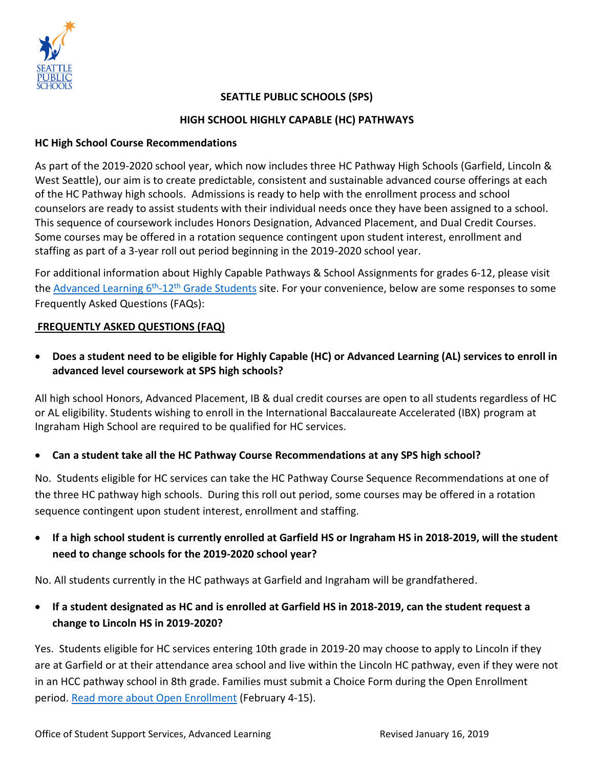

### **SEATTLE PUBLIC SCHOOLS (SPS)**

#### **HIGH SCHOOL HIGHLY CAPABLE (HC) PATHWAYS**

#### **HC High School Course Recommendations**

As part of the 2019-2020 school year, which now includes three HC Pathway High Schools (Garfield, Lincoln & West Seattle), our aim is to create predictable, consistent and sustainable advanced course offerings at each of the HC Pathway high schools. Admissions is ready to help with the enrollment process and school counselors are ready to assist students with their individual needs once they have been assigned to a school. This sequence of coursework includes Honors Designation, Advanced Placement, and Dual Credit Courses. Some courses may be offered in a rotation sequence contingent upon student interest, enrollment and staffing as part of a 3-year roll out period beginning in the 2019-2020 school year.

For additional information about Highly Capable Pathways & School Assignments for grades 6-12, please visit the <u>Advanced Learning 6<sup>th</sup>-12<sup>th</sup> Grade Students</u> site. For your convenience, below are some responses to some Frequently Asked Questions (FAQs):

#### **FREQUENTLY ASKED QUESTIONS (FAQ)**

• **Does a student need to be eligible for Highly Capable (HC) or Advanced Learning (AL) services to enroll in advanced level coursework at SPS high schools?**

All high school Honors, Advanced Placement, IB & dual credit courses are open to all students regardless of HC or AL eligibility. Students wishing to enroll in the International Baccalaureate Accelerated (IBX) program at Ingraham High School are required to be qualified for HC services.

### • **Can a student take all the HC Pathway Course Recommendations at any SPS high school?**

No. Students eligible for HC services can take the HC Pathway Course Sequence Recommendations at one of the three HC pathway high schools. During this roll out period, some courses may be offered in a rotation sequence contingent upon student interest, enrollment and staffing.

• **If a high school student is currently enrolled at Garfield HS or Ingraham HS in 2018-2019, will the student need to change schools for the 2019-2020 school year?**

No. All students currently in the HC pathways at Garfield and Ingraham will be grandfathered.

• **If a student designated as HC and is enrolled at Garfield HS in 2018-2019, can the student request a change to Lincoln HS in 2019-2020?**

Yes. Students eligible for HC services entering 10th grade in 2019-20 may choose to apply to Lincoln if they are at Garfield or at their attendance area school and live within the Lincoln HC pathway, even if they were not in an HCC pathway school in 8th grade. Families must submit a Choice Form during the Open Enrollment period. [Read more about Open Enrollment](https://www.seattleschools.org/cms/One.aspx?portalId=627&pageId=1855434) (February 4-15).